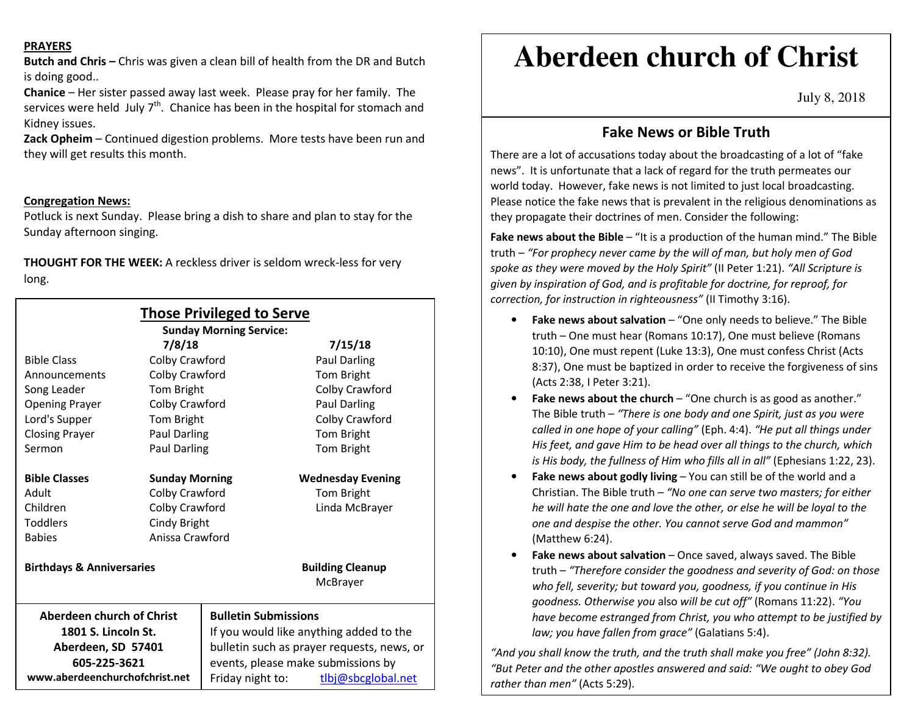#### **PRAYERS**

**Butch and Chris –** Chris was given a clean bill of health from the DR and Butch is doing good..

**Chanice** – Her sister passed away last week. Please pray for her family. The services were held July 7<sup>th</sup>. Chanice has been in the hospital for stomach and Kidney issues.

**Zack Opheim** – Continued digestion problems. More tests have been run and they will get results this month.

## **Congregation News:**

Potluck is next Sunday. Please bring a dish to share and plan to stay for the Sunday afternoon singing.

**THOUGHT FOR THE WEEK:** A reckless driver is seldom wreck-less for very long.

| <b>Those Privileged to Serve</b><br><b>Sunday Morning Service:</b> |                       |                                            |                                     |
|--------------------------------------------------------------------|-----------------------|--------------------------------------------|-------------------------------------|
| 7/8/18                                                             |                       |                                            | 7/15/18                             |
| <b>Bible Class</b>                                                 | Colby Crawford        |                                            | <b>Paul Darling</b>                 |
| Announcements                                                      | Colby Crawford        |                                            | Tom Bright                          |
| Song Leader                                                        | <b>Tom Bright</b>     |                                            | Colby Crawford                      |
| <b>Opening Prayer</b>                                              | Colby Crawford        |                                            | <b>Paul Darling</b>                 |
| Lord's Supper                                                      | <b>Tom Bright</b>     |                                            | Colby Crawford                      |
| <b>Closing Prayer</b>                                              | Paul Darling          |                                            | Tom Bright                          |
| Sermon                                                             | <b>Paul Darling</b>   |                                            | Tom Bright                          |
| <b>Bible Classes</b>                                               | <b>Sunday Morning</b> |                                            | <b>Wednesday Evening</b>            |
| Adult                                                              | Colby Crawford        |                                            | Tom Bright                          |
| Children                                                           | Colby Crawford        |                                            | Linda McBrayer                      |
| <b>Toddlers</b>                                                    | Cindy Bright          |                                            |                                     |
| <b>Babies</b>                                                      | Anissa Crawford       |                                            |                                     |
| <b>Birthdays &amp; Anniversaries</b>                               |                       |                                            | <b>Building Cleanup</b><br>McBrayer |
| Aberdeen church of Christ                                          |                       | <b>Bulletin Submissions</b>                |                                     |
| 1801 S. Lincoln St.                                                |                       | If you would like anything added to the    |                                     |
| Aberdeen, SD 57401                                                 |                       | bulletin such as prayer requests, news, or |                                     |
| 605-225-3621                                                       |                       | events, please make submissions by         |                                     |
| www.aberdeenchurchofchrist.net                                     |                       | Friday night to:                           | tlbj@sbcglobal.net                  |

# **Aberdeen church of Christ**

July 8, 2018

# **Fake News or Bible Truth**

There are a lot of accusations today about the broadcasting of a lot of "fake news". It is unfortunate that a lack of regard for the truth permeates our world today. However, fake news is not limited to just local broadcasting. Please notice the fake news that is prevalent in the religious denominations as they propagate their doctrines of men. Consider the following:

Fake news about the Bible - "It is a production of the human mind." The Bible truth – *"For prophecy never came by the will of man, but holy men of God spoke as they were moved by the Holy Spirit"* (II Peter 1:21). *"All Scripture is given by inspiration of God, and is profitable for doctrine, for reproof, for correction, for instruction in righteousness"* (II Timothy 3:16).

- **Fake news about salvation**  "One only needs to believe." The Bible truth – One must hear (Romans 10:17), One must believe (Romans 10:10), One must repent (Luke 13:3), One must confess Christ (Acts 8:37), One must be baptized in order to receive the forgiveness of sins (Acts 2:38, I Peter 3:21).
- **Fake news about the church**  "One church is as good as another." The Bible truth – *"There is one body and one Spirit, just as you were called in one hope of your calling"* (Eph. 4:4). *"He put all things under His feet, and gave Him to be head over all things to the church, which is His body, the fullness of Him who fills all in all"* (Ephesians 1:22, 23).
- •**Fake news about godly living – You can still be of the world and a** Christian. The Bible truth – *"No one can serve two masters; for either he will hate the one and love the other, or else he will be loyal to the one and despise the other. You cannot serve God and mammon"* (Matthew 6:24).
- •**Fake news about salvation** – Once saved, always saved. The Bible truth – *"Therefore consider the goodness and severity of God: on those who fell, severity; but toward you, goodness, if you continue in His goodness. Otherwise you* also *will be cut off"* (Romans 11:22). *"You have become estranged from Christ, you who attempt to be justified by law; you have fallen from grace"* (Galatians 5:4).

*"And you shall know the truth, and the truth shall make you free" (John 8:32). "But Peter and the other apostles answered and said: "We ought to obey God rather than men"* (Acts 5:29).